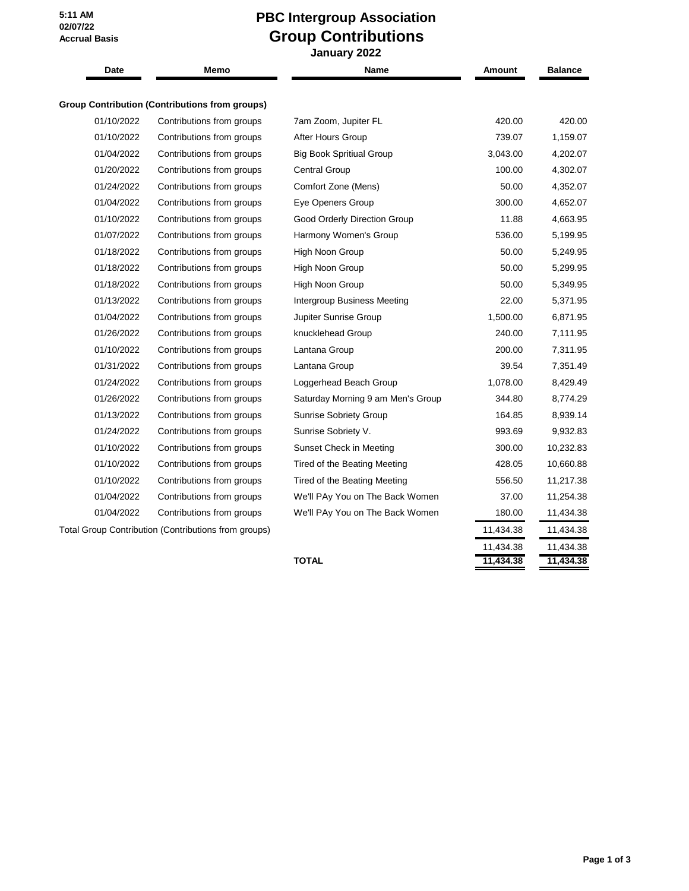**5:11 AM 02/07/22 Accrual Basis**

## **PBC Intergroup Association Group Contributions**

 **January 2022 Date Memo Name Amount Balance Group Contribution (Contributions from groups)** 01/10/2022 Contributions from groups 7am Zoom, Jupiter FL 420.00 420.00 420.00 01/10/2022 Contributions from groups After Hours Group 739.07 1,159.07 01/04/2022 Contributions from groups Big Book Spritiual Group 3,043.00 4,202.07 01/20/2022 Contributions from groups Central Group 100.00 4,302.07 01/24/2022 Contributions from groups Comfort Zone (Mens) 50.00 4,352.07 01/04/2022 Contributions from groups Eye Openers Group 300.00 4,652.07 01/10/2022 Contributions from groups Good Orderly Direction Group 11.88 4,663.95 01/07/2022 Contributions from groups Harmony Women's Group 536.00 5,199.95 01/18/2022 Contributions from groups High Noon Group 50.00 5,249.95 01/18/2022 Contributions from groups High Noon Group 50.00 5,299.95 01/18/2022 Contributions from groups High Noon Group 50.00 5,349.95 01/13/2022 Contributions from groups Intergroup Business Meeting 22.00 5,371.95 01/04/2022 Contributions from groups Jupiter Sunrise Group 1,500.00 6,871.95 01/26/2022 Contributions from groups knucklehead Group 240.00 7,111.95 01/10/2022 Contributions from groups Lantana Group 200.00 7,311.95 01/31/2022 Contributions from groups Lantana Group 39.54 7,351.49 01/24/2022 Contributions from groups Loggerhead Beach Group 1,078.00 8,429.49 01/26/2022 Contributions from groups Saturday Morning 9 am Men's Group 344.80 8,774.29 01/13/2022 Contributions from groups Sunrise Sobriety Group 164.85 8,939.14 01/24/2022 Contributions from groups Sunrise Sobriety V. 693.69 9,932.83 01/10/2022 Contributions from groups Sunset Check in Meeting 300.00 10,232.83 01/10/2022 Contributions from groups Tired of the Beating Meeting 428.05 10,660.88 01/10/2022 Contributions from groups Tired of the Beating Meeting 556.50 11,217.38 01/04/2022 Contributions from groups We'll PAy You on The Back Women 37.00 11,254.38 01/04/2022 Contributions from groups We'll PAy You on The Back Women 180.00 11,434.38 Total Group Contribution (Contributions from groups) 11,434.38 11,434.38 11,434.38

**TOTAL 11,434.38 11,434.38**

11,434.38 11,434.38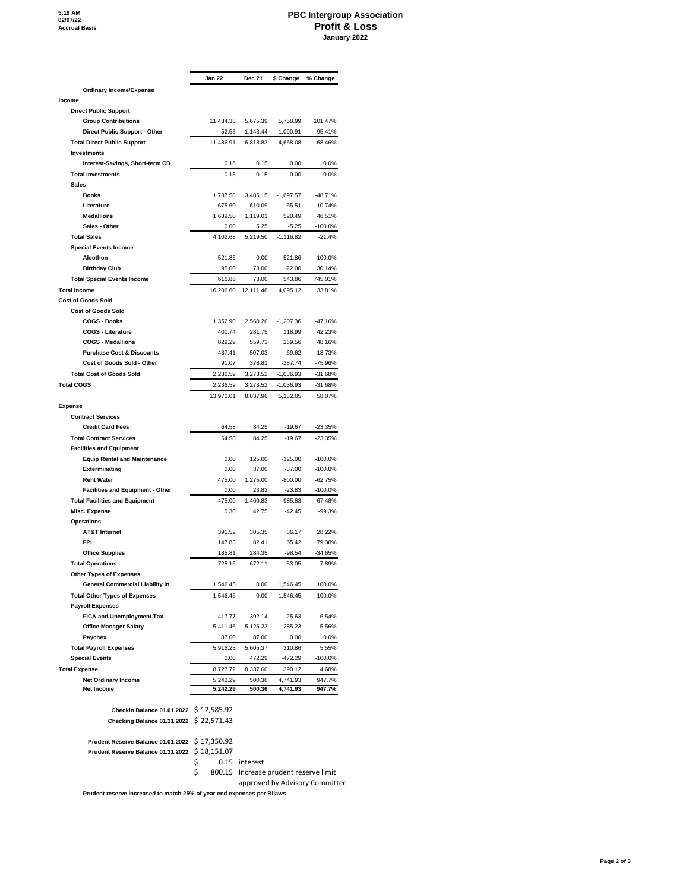## **PBC Intergroup Association Profit & Loss January 2022**

 $\overline{\phantom{a}}$ 

|                                                                    | Jan 22               | <b>Dec 21</b>      | \$ Change                | % Change                       |
|--------------------------------------------------------------------|----------------------|--------------------|--------------------------|--------------------------------|
| <b>Ordinary Income/Expense</b>                                     |                      |                    |                          |                                |
| Income                                                             |                      |                    |                          |                                |
| <b>Direct Public Support</b>                                       |                      |                    |                          |                                |
| <b>Group Contributions</b>                                         | 11,434.38            | 5,675.39           | 5,758.99                 | 101.47%                        |
| Direct Public Support - Other                                      | 52.53                | 1,143.44           | $-1,090.91$              | $-95.41%$                      |
| <b>Total Direct Public Support</b>                                 | 11,486.91            | 6,818.83           | 4,668.08                 | 68.46%                         |
| <b>Investments</b>                                                 |                      |                    |                          |                                |
| Interest-Savings, Short-term CD                                    | 0.15                 | 0.15               | 0.00                     | 0.0%                           |
| <b>Total Investments</b>                                           | 0.15                 | 0.15               | 0.00                     | 0.0%                           |
| <b>Sales</b>                                                       |                      |                    |                          |                                |
| <b>Books</b>                                                       | 1,787.58<br>675.60   | 3,485.15           | $-1.697.57$              | $-48.71%$                      |
| Literature<br><b>Medallions</b>                                    | 1,639.50             | 610.09<br>1,119.01 | 65.51<br>520.49          | 10.74%<br>46.51%               |
| Sales - Other                                                      | 0.00                 | 5.25               | $-5.25$                  | $-100.0%$                      |
| <b>Total Sales</b>                                                 | 4,102.68             | 5,219.50           | $-1,116.82$              | $-21.4%$                       |
| <b>Special Events Income</b>                                       |                      |                    |                          |                                |
| Alcothon                                                           | 521.86               | 0.00               | 521.86                   | 100.0%                         |
| <b>Birthday Club</b>                                               | 95.00                | 73.00              | 22.00                    | 30.14%                         |
| <b>Total Special Events Income</b>                                 | 616.86               | 73.00              | 543.86                   | 745.01%                        |
| <b>Total Income</b>                                                | 16,206.60            | 12,111.48          | 4,095.12                 | 33.81%                         |
| <b>Cost of Goods Sold</b>                                          |                      |                    |                          |                                |
| <b>Cost of Goods Sold</b>                                          |                      |                    |                          |                                |
| <b>COGS - Books</b>                                                | 1,352.90             | 2,560.26           | $-1,207.36$              | $-47.16%$                      |
| <b>COGS - Literature</b>                                           | 400.74               | 281.75             | 118.99                   | 42.23%                         |
| <b>COGS - Medallions</b>                                           | 829.29               | 559.73             | 269.56                   | 48.16%                         |
| <b>Purchase Cost &amp; Discounts</b><br>Cost of Goods Sold - Other | $-437.41$            | $-507.03$          | 69.62                    | 13.73%                         |
| <b>Total Cost of Goods Sold</b>                                    | 91.07<br>2,236.59    | 378.81<br>3.273.52 | $-287.74$<br>$-1,036.93$ | $-75.96%$                      |
| <b>Total COGS</b>                                                  | 2,236.59             | 3,273.52           | $-1,036.93$              | $-31.68%$<br>$-31.68%$         |
|                                                                    | 13,970.01            | 8.837.96           | 5,132.05                 | 58.07%                         |
| <b>Expense</b>                                                     |                      |                    |                          |                                |
| <b>Contract Services</b>                                           |                      |                    |                          |                                |
| <b>Credit Card Fees</b>                                            | 64.58                | 84.25              | $-19.67$                 | $-23.35%$                      |
| <b>Total Contract Services</b>                                     | 64.58                | 84.25              | $-19.67$                 | $-23.35%$                      |
| <b>Facilities and Equipment</b>                                    |                      |                    |                          |                                |
| <b>Equip Rental and Maintenance</b>                                | 0.00                 | 125.00             | $-125.00$                | $-100.0%$                      |
| Exterminating                                                      | 0.00                 | 37.00              | $-37.00$                 | $-100.0%$                      |
| <b>Rent Water</b>                                                  | 475.00               | 1,275.00           | $-800.00$                | $-62.75%$                      |
| <b>Facilities and Equipment - Other</b>                            | 0.00                 | 23.83              | $-23.83$                 | $-100.0%$                      |
| <b>Total Facilities and Equipment</b>                              | 475.00               | 1,460.83           | $-985.83$                | $-67.48%$                      |
| Misc. Expense                                                      | 0.30                 | 42.75              | $-42.45$                 | $-99.3%$                       |
| <b>Operations</b><br><b>AT&amp;T Internet</b>                      |                      |                    |                          |                                |
| <b>FPL</b>                                                         | 391.52<br>147.83     | 305.35<br>82.41    | 86.17<br>65.42           | 28.22%<br>79.38%               |
| <b>Office Supplies</b>                                             | 185.81               | 284.35             | $-98.54$                 | $-34.65%$                      |
| <b>Total Operations</b>                                            | 725.16               | 672.11             | 53.05                    | 7.89%                          |
| <b>Other Types of Expenses</b>                                     |                      |                    |                          |                                |
| <b>General Commercial Liability In</b>                             | 1,546.45             | 0.00               | 1,546.45                 | 100.0%                         |
| <b>Total Other Types of Expenses</b>                               | 1,546.45             | 0.00               | 1,546.45                 | 100.0%                         |
| <b>Payroll Expenses</b>                                            |                      |                    |                          |                                |
| <b>FICA and Unemployment Tax</b>                                   | 417.77               | 392.14             | 25.63                    | 6.54%                          |
| <b>Office Manager Salary</b>                                       | 5,411.46             | 5,126.23           | 285.23                   | 5.56%                          |
| Paychex                                                            | 87.00                | 87.00              | 0.00                     | 0.0%                           |
| <b>Total Payroll Expenses</b>                                      | 5,916.23             | 5,605.37           | 310.86                   | 5.55%                          |
| <b>Special Events</b>                                              | 0.00                 | 472.29             | $-472.29$                | -100.0%                        |
| <b>Total Expense</b>                                               | 8,727.72             | 8,337.60           | 390.12                   | 4.68%                          |
| <b>Net Ordinary Income</b><br><b>Net Income</b>                    | 5,242.29<br>5,242.29 | 500.36<br>500.36   | 4,741.93<br>4,741.93     | 947.7%<br>947.7%               |
|                                                                    |                      |                    |                          |                                |
| Checkin Balance 01.01.2022 \$12,585.92                             |                      |                    |                          |                                |
| Checking Balance 01.31.2022 \$ 22,571.43                           |                      |                    |                          |                                |
|                                                                    |                      |                    |                          |                                |
| Prudent Reserve Balance 01.01.2022 \$17,350.92                     | \$18,151.07          |                    |                          |                                |
| Prudent Reserve Balance 01.31.2022                                 | \$<br>0.15           | interest           |                          |                                |
|                                                                    | \$<br>800.15         |                    |                          | Increase prudent reserve limit |
|                                                                    |                      |                    |                          |                                |

approved by Advisory Committee

**Prudent reserve increased to match 25% of year end expenses per Bilaws**